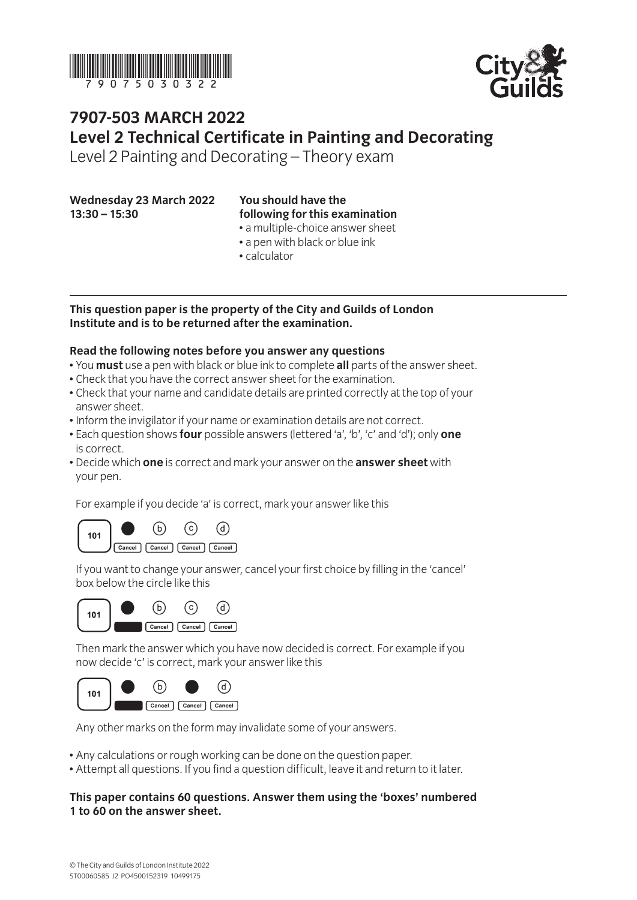



# **7907-503 March 2022 Level 2 Technical Certificate in Painting and Decorating**

Level 2 Painting and Decorating – Theory exam

**Wednesday 23 March 2022 13:30 – 15:30**

## **You should have the following for this examination**

- a multiple-choice answer sheet
- a pen with black or blue ink
- calculator

#### **This question paper is the property of the City and Guilds of London Institute and is to be returned after the examination.**

#### **Read the following notes before you answer any questions**

- You **must** use a pen with black or blue ink to complete **all** parts of the answer sheet.
- Check that you have the correct answer sheet for the examination.
- Check that your name and candidate details are printed correctly at the top of your answer sheet.
- Inform the invigilator if your name or examination details are not correct.
- Each question shows **four** possible answers (lettered 'a', 'b', 'c' and 'd'); only **one** is correct.
- Decide which **one** is correct and mark your answer on the **answer sheet** with your pen.

For example if you decide 'a' is correct, mark your answer like this



If you want to change your answer, cancel your first choice by filling in the 'cancel' box below the circle like this



Then mark the answer which you have now decided is correct. For example if you now decide 'c' is correct, mark your answer like this



Any other marks on the form may invalidate some of your answers.

- Any calculations or rough working can be done on the question paper.
- Attempt all questions. If you find a question difficult, leave it and return to it later.

#### **This paper contains 60 questions. Answer them using the 'boxes' numbered 1 to 60 on the answer sheet.**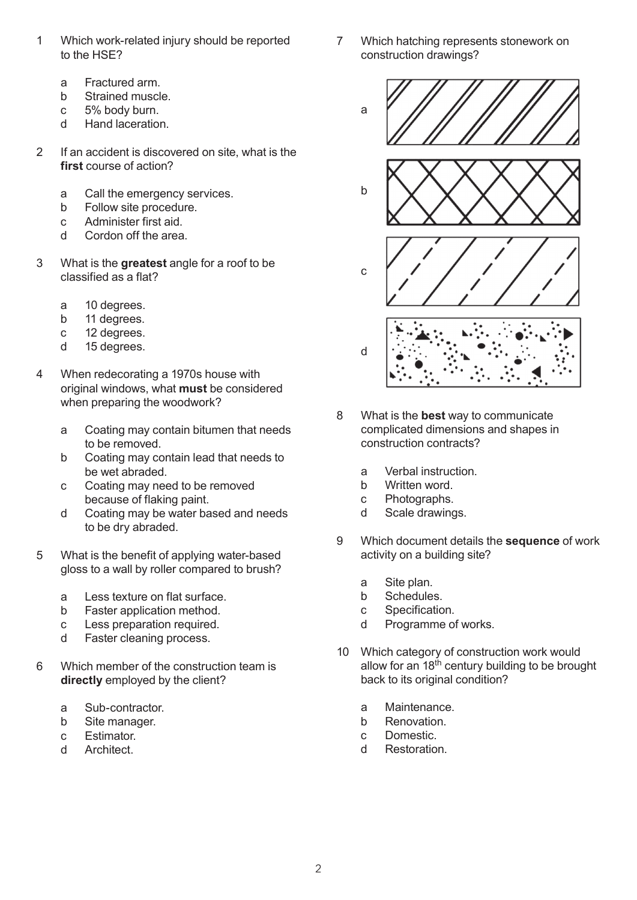- 1 Which work-related injury should be reported to the HSE?
	- a Fractured arm.
	- b Strained muscle.
	- c 5% body burn.
	- d Hand laceration.
- 2 If an accident is discovered on site, what is the **first** course of action?
	- a Call the emergency services.
	- b Follow site procedure.
	- c Administer first aid.
	- d Cordon off the area.
- 3 What is the **greatest** angle for a roof to be classified as a flat?
	- a 10 degrees.
	- b 11 degrees.
	- c 12 degrees.
	- d 15 degrees.
- 4 When redecorating a 1970s house with original windows, what **must** be considered when preparing the woodwork?
	- a Coating may contain bitumen that needs to be removed.
	- b Coating may contain lead that needs to be wet abraded.
	- c Coating may need to be removed because of flaking paint.
	- d Coating may be water based and needs to be dry abraded.
- 5 What is the benefit of applying water-based gloss to a wall by roller compared to brush?
	- a Less texture on flat surface.
	- b Faster application method.
	- c Less preparation required.
	- d Faster cleaning process.
- 6 Which member of the construction team is **directly** employed by the client?
	- a Sub-contractor.
	- b Site manager.
	- c Estimator.
	- d Architect.
- 7 Which hatching represents stonework on construction drawings?
	- a





- 8 What is the **best** way to communicate complicated dimensions and shapes in construction contracts?
	- a Verbal instruction.<br>b Written word.
	- Written word.
	- c Photographs.
	- d Scale drawings.
- 9 Which document details the **sequence** of work activity on a building site?
	- a Site plan.
	- b Schedules.
	- c Specification.
	- d Programme of works.
- 10 Which category of construction work would allow for an  $18<sup>th</sup>$  century building to be brought back to its original condition?
	- a Maintenance.
	- b Renovation.
	- c Domestic.
	- d Restoration.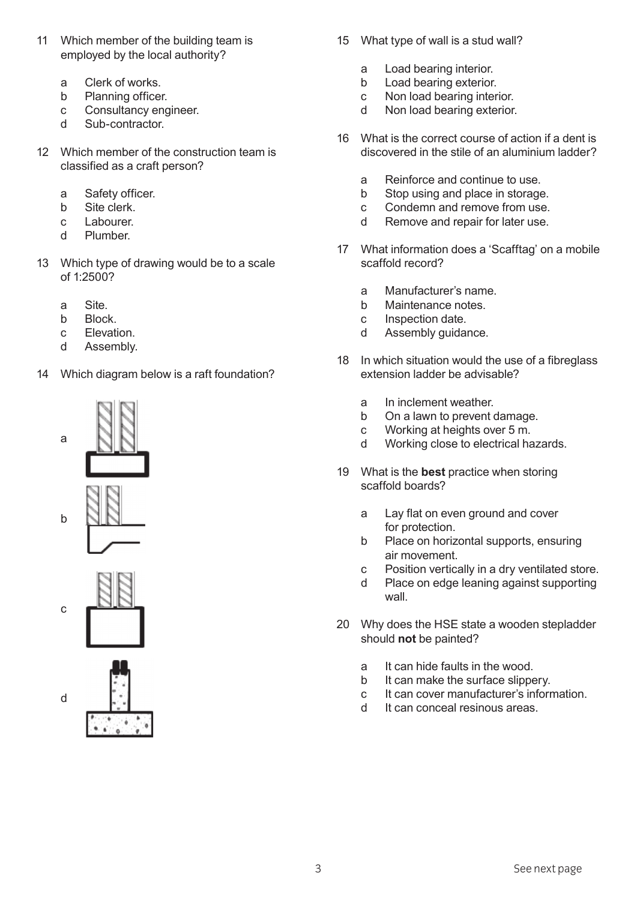- 11 Which member of the building team is employed by the local authority?
	- a Clerk of works.
	- b Planning officer.
	- c Consultancy engineer.
	- d Sub-contractor.
- 12 Which member of the construction team is classified as a craft person?
	- a Safety officer.
	- b Site clerk.
	- c Labourer.
	- d Plumber.
- 13 Which type of drawing would be to a scale of 1:2500?
	- a Site.
	- b Block.
	- c Elevation.
	- d Assembly.
- 14 Which diagram below is a raft foundation?





c

d



- 15 What type of wall is a stud wall?
	- a Load bearing interior.
	- b Load bearing exterior.
	- c Non load bearing interior.
	- d Non load bearing exterior.
- 16 What is the correct course of action if a dent is discovered in the stile of an aluminium ladder?
	- a Reinforce and continue to use.<br>b Stop using and place in storage
	- Stop using and place in storage.
	- c Condemn and remove from use.
	- d Remove and repair for later use.
- 17 What information does a 'Scafftag' on a mobile scaffold record?
	- a Manufacturer's name.
	- b Maintenance notes.
	- c Inspection date.
	- d Assembly guidance.
- 18 In which situation would the use of a fibreglass extension ladder be advisable?
	- a In inclement weather.
	- b On a lawn to prevent damage.
	- c Working at heights over 5 m.
	- d Working close to electrical hazards.
- 19 What is the **best** practice when storing scaffold boards?
	- a Lay flat on even ground and cover for protection.
	- b Place on horizontal supports, ensuring air movement.
	- c Position vertically in a dry ventilated store.
	- d Place on edge leaning against supporting wall.
- 20 Why does the HSE state a wooden stepladder should **not** be painted?
	- a It can hide faults in the wood.
	- b It can make the surface slippery.
	- c It can cover manufacturer's information.
	- d It can conceal resinous areas.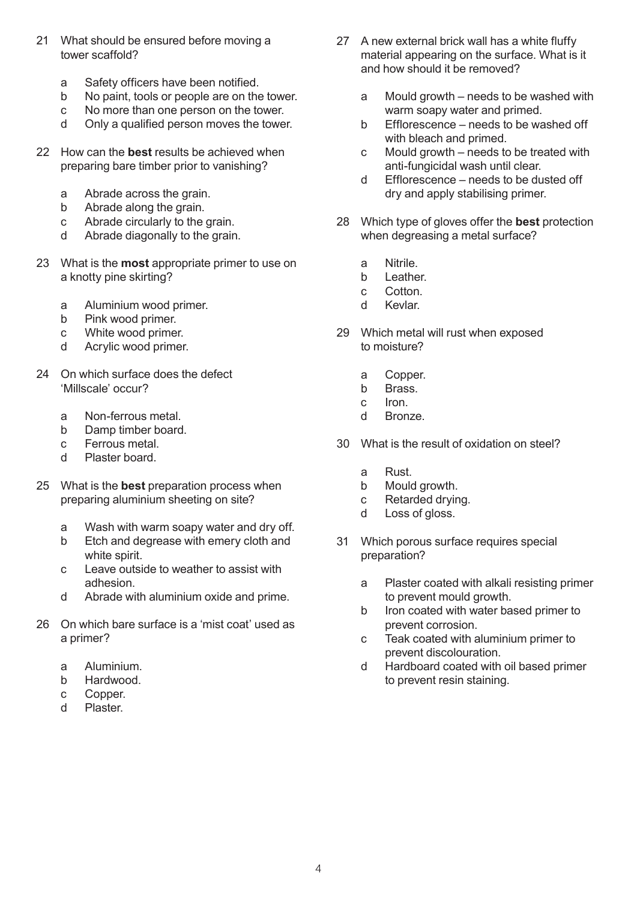- 21 What should be ensured before moving a tower scaffold?
	- a Safety officers have been notified.
	- b No paint, tools or people are on the tower.
	- c No more than one person on the tower.
	- d Only a qualified person moves the tower.
- 22 How can the **best** results be achieved when preparing bare timber prior to vanishing?
	- a Abrade across the grain.
	- b Abrade along the grain.
	- c Abrade circularly to the grain.
	- d Abrade diagonally to the grain.
- 23 What is the **most** appropriate primer to use on a knotty pine skirting?
	- a Aluminium wood primer.
	- b Pink wood primer.
	- c White wood primer.
	- d Acrylic wood primer.
- 24 On which surface does the defect 'Millscale' occur?
	- a Non-ferrous metal.
	- b Damp timber board.
	- c Ferrous metal.
	- d Plaster board.
- 25 What is the **best** preparation process when preparing aluminium sheeting on site?
	- a Wash with warm soapy water and dry off.
	- b Etch and degrease with emery cloth and white spirit.
	- c Leave outside to weather to assist with adhesion.
	- d Abrade with aluminium oxide and prime.
- 26 On which bare surface is a 'mist coat' used as a primer?
	- a Aluminium.
	- b Hardwood.
	- c Copper.
	- d Plaster.
- 27 A new external brick wall has a white fluffy material appearing on the surface. What is it and how should it be removed?
	- a Mould growth needs to be washed with warm soapy water and primed.
	- b Efflorescence needs to be washed off with bleach and primed.
	- c Mould growth needs to be treated with anti-fungicidal wash until clear.
	- d Efflorescence needs to be dusted off dry and apply stabilising primer.
- 28 Which type of gloves offer the **best** protection when degreasing a metal surface?
	- a Nitrile.
	- b Leather.
	- c Cotton.
	- d Kevlar.
- 29 Which metal will rust when exposed to moisture?
	- a Copper.
	- b Brass.
	- c Iron.
	- d Bronze.
- 30 What is the result of oxidation on steel?
	- a Rust.
	- b Mould growth.
	- c Retarded drying.
	- d Loss of gloss.
- 31 Which porous surface requires special preparation?
	- a Plaster coated with alkali resisting primer to prevent mould growth.
	- b Iron coated with water based primer to prevent corrosion.
	- c Teak coated with aluminium primer to prevent discolouration.
	- d Hardboard coated with oil based primer to prevent resin staining.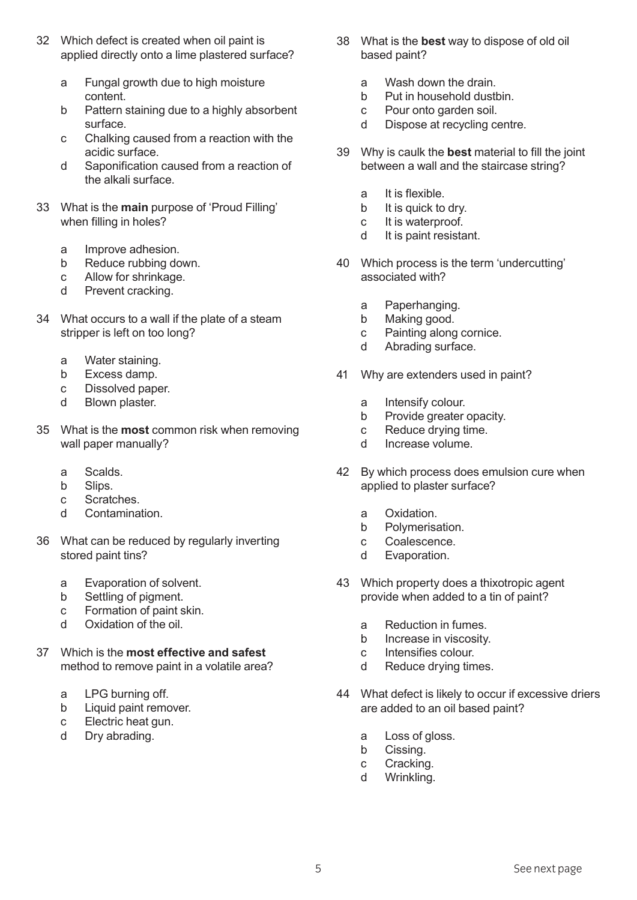- 32 Which defect is created when oil paint is applied directly onto a lime plastered surface?
	- a Fungal growth due to high moisture content.
	- b Pattern staining due to a highly absorbent surface.
	- c Chalking caused from a reaction with the acidic surface.
	- d Saponification caused from a reaction of the alkali surface.
- 33 What is the **main** purpose of 'Proud Filling' when filling in holes?
	- a Improve adhesion.
	- b Reduce rubbing down.
	- c Allow for shrinkage.
	- d Prevent cracking.
- 34 What occurs to a wall if the plate of a steam stripper is left on too long?
	- a Water staining.
	- b Excess damp.
	- c Dissolved paper.
	- d Blown plaster.
- 35 What is the **most** common risk when removing wall paper manually?
	- a Scalds.
	- b Slips.
	- c Scratches.
	- d Contamination.
- 36 What can be reduced by regularly inverting stored paint tins?
	- a Evaporation of solvent.
	- b Settling of pigment.
	- c Formation of paint skin.
	- d Oxidation of the oil.
- 37 Which is the **most effective and safest**  method to remove paint in a volatile area?
	- a LPG burning off.
	- b Liquid paint remover.
	- c Electric heat gun.
	- d Dry abrading.
- 38 What is the **best** way to dispose of old oil based paint?
	- a Wash down the drain.
	- b Put in household dustbin.
	- c Pour onto garden soil.
	- d Dispose at recycling centre.
- 39 Why is caulk the **best** material to fill the joint between a wall and the staircase string?
	- a It is flexible.
	- b It is quick to dry.
	- c It is waterproof.
	- d It is paint resistant.
- 40 Which process is the term 'undercutting' associated with?
	- a Paperhanging.
	- b Making good.
	- c Painting along cornice.<br>d Abrading surface.
	- Abrading surface.
- 41 Why are extenders used in paint?
	- a Intensify colour.
	- b Provide greater opacity.
	- c Reduce drying time.
	- d Increase volume.
- 42 By which process does emulsion cure when applied to plaster surface?
	- a Oxidation.
	- b Polymerisation.
	- c Coalescence.
	- d Evaporation.
- 43 Which property does a thixotropic agent provide when added to a tin of paint?
	- a Reduction in fumes.
	- b Increase in viscosity.
	- c Intensifies colour.<br>d Reduce drvina fim
	- Reduce drying times.
- 44 What defect is likely to occur if excessive driers are added to an oil based paint?
	- a Loss of gloss.
	- b Cissing.
	- c Cracking.
	- d Wrinkling.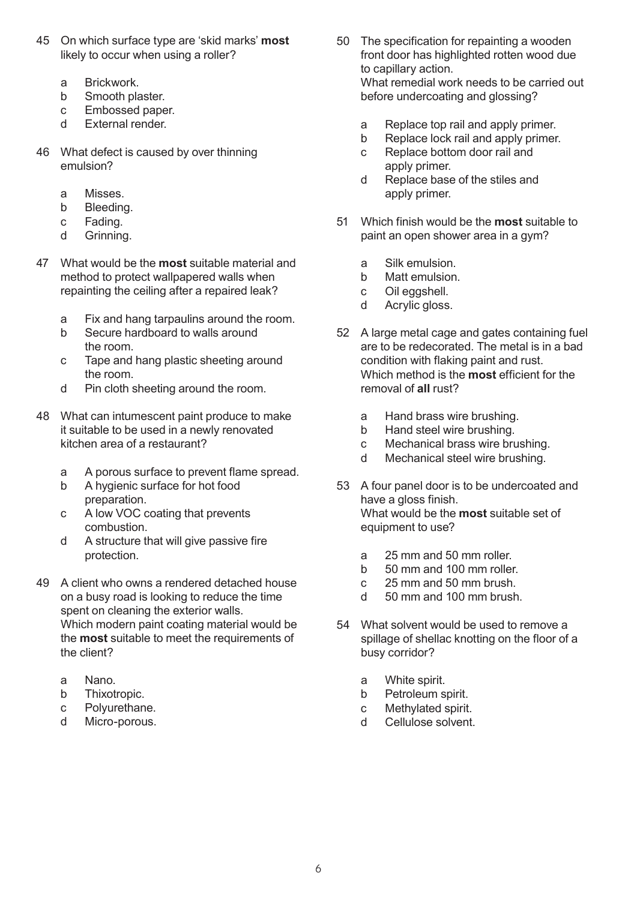- 45 On which surface type are 'skid marks' **most** likely to occur when using a roller?
	- a Brickwork.
	- b Smooth plaster.
	- c Embossed paper.
	- d External render.
- 46 What defect is caused by over thinning emulsion?
	- a Misses.
	- b Bleeding.
	- c Fading.
	- d Grinning.
- 47 What would be the **most** suitable material and method to protect wallpapered walls when repainting the ceiling after a repaired leak?
	- a Fix and hang tarpaulins around the room.
	- b Secure hardboard to walls around the room.
	- c Tape and hang plastic sheeting around the room.
	- d Pin cloth sheeting around the room.
- 48 What can intumescent paint produce to make it suitable to be used in a newly renovated kitchen area of a restaurant?
	- a A porous surface to prevent flame spread.
	- b A hygienic surface for hot food preparation.
	- c A low VOC coating that prevents combustion.
	- d A structure that will give passive fire protection.
- 49 A client who owns a rendered detached house on a busy road is looking to reduce the time spent on cleaning the exterior walls. Which modern paint coating material would be the **most** suitable to meet the requirements of the client?
	- a Nano.
	- b Thixotropic.
	- c Polyurethane.
	- d Micro-porous.
- 50 The specification for repainting a wooden front door has highlighted rotten wood due to capillary action. What remedial work needs to be carried out before undercoating and glossing?
	- a Replace top rail and apply primer.
	- b Replace lock rail and apply primer.
	- c Replace bottom door rail and apply primer.
	- d Replace base of the stiles and apply primer.
- 51 Which finish would be the **most** suitable to paint an open shower area in a gym?
	- a Silk emulsion.
	- b Matt emulsion.
	- c Oil eggshell.
	- d Acrylic gloss.
- 52 A large metal cage and gates containing fuel are to be redecorated. The metal is in a bad condition with flaking paint and rust. Which method is the **most** efficient for the removal of **all** rust?
	- a Hand brass wire brushing.
	- b Hand steel wire brushing.
	- c Mechanical brass wire brushing.
	- d Mechanical steel wire brushing.
- 53 A four panel door is to be undercoated and have a gloss finish. What would be the **most** suitable set of equipment to use?
	- a 25 mm and 50 mm roller.
	- b 50 mm and 100 mm roller.
	- c 25 mm and 50 mm brush.
	- d 50 mm and 100 mm brush.
- 54 What solvent would be used to remove a spillage of shellac knotting on the floor of a busy corridor?
	- a White spirit.
	- b Petroleum spirit.
	- c Methylated spirit.
	- d Cellulose solvent.